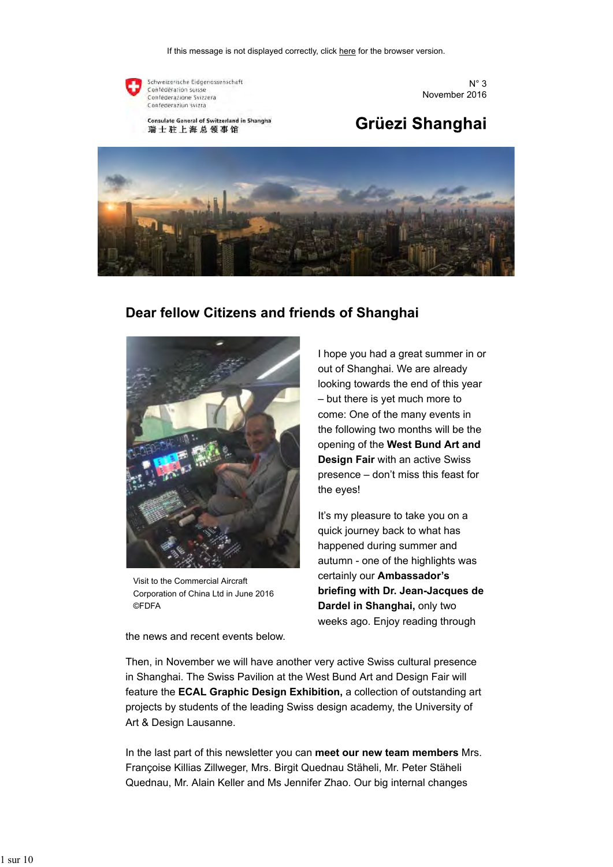

Schweizerische Eidgenossenschaft Confédération suisse Conféderazione Svizzera Confederaziun svizra

Consulate General of Switzerland in Shanghai 瑞士驻上海总领事馆

 $N^{\circ}$  3 November 2016

# Grüezi Shanghai



### **Dear fellow Citizens and friends of Shanghai**



Visit to the Commercial Aircraft Corporation of China Ltd in June 2016 ©FDFA

the news and recent events below.

I hope you had a great summer in or out of Shanghai. We are already looking towards the end of this year – but there is yet much more to come: One of the many events in the following two months will be the opening of the **West Bund Art and Design Fair** with an active Swiss presence – don't miss this feast for the eyes!

It's my pleasure to take you on a quick journey back to what has happened during summer and autumn - one of the highlights was certainly our **Ambassador's briefing with Dr. Jean-Jacques de Dardel in Shanghai,** only two weeks ago. Enjoy reading through

Then, in November we will have another very active Swiss cultural presence in Shanghai. The Swiss Pavilion at the West Bund Art and Design Fair will feature the **ECAL Graphic Design Exhibition,** a collection of outstanding art projects by students of the leading Swiss design academy, the University of Art & Design Lausanne.

In the last part of this newsletter you can **meet our new team members** Mrs. Françoise Killias Zillweger, Mrs. Birgit Quednau Stäheli, Mr. Peter Stäheli Quednau, Mr. Alain Keller and Ms Jennifer Zhao. Our big internal changes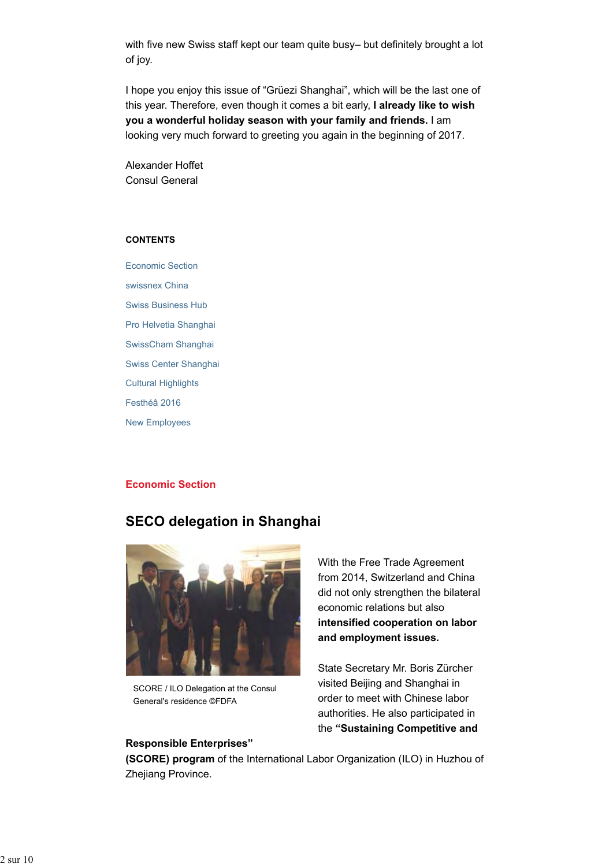with five new Swiss staff kept our team quite busy– but definitely brought a lot of joy.

I hope you enjoy this issue of "Grüezi Shanghai", which will be the last one of this year. Therefore, even though it comes a bit early, **I already like to wish you a wonderful holiday season with your family and friends.** I am looking very much forward to greeting you again in the beginning of 2017.

Alexander Hoffet Consul General

#### **CONTENTS**

Economic Section swissnex China Swiss Business Hub Pro Helvetia Shanghai SwissCham Shanghai Swiss Center Shanghai Cultural Highlights Festhéâ 2016 New Employees

#### **Economic Section**

### **SECO delegation in Shanghai**



SCORE / ILO Delegation at the Consul General's residence ©FDFA

#### **Responsible Enterprises"**

With the Free Trade Agreement from 2014, Switzerland and China did not only strengthen the bilateral economic relations but also **intensified cooperation on labor and employment issues.**

State Secretary Mr. Boris Zürcher visited Beijing and Shanghai in order to meet with Chinese labor authorities. He also participated in the **"Sustaining Competitive and**

**(SCORE) program** of the International Labor Organization (ILO) in Huzhou of Zhejiang Province.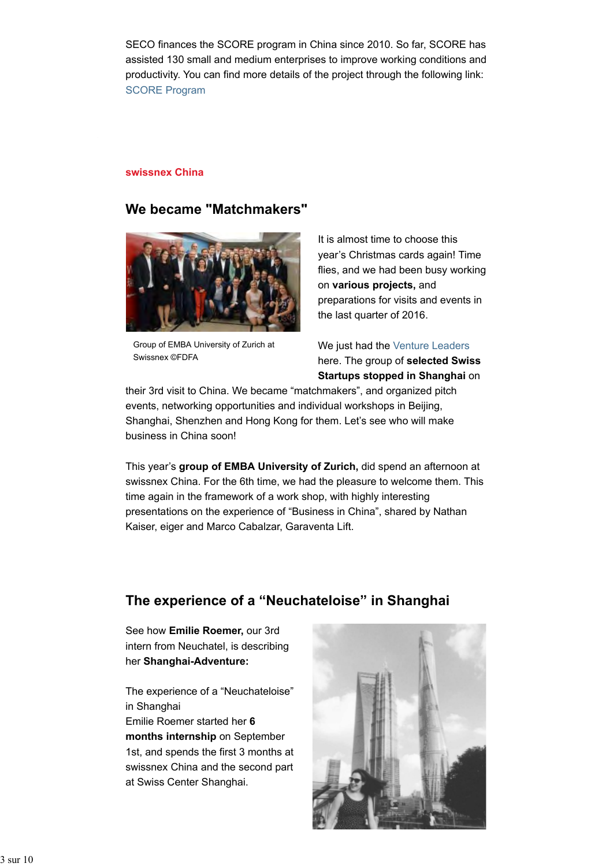SECO finances the SCORE program in China since 2010. So far, SCORE has assisted 130 small and medium enterprises to improve working conditions and productivity. You can find more details of the project through the following link: SCORE Program

#### **swissnex China**

### **We became "Matchmakers"**



Group of EMBA University of Zurich at Swissnex ©FDFA

It is almost time to choose this year's Christmas cards again! Time flies, and we had been busy working on **various projects,** and preparations for visits and events in the last quarter of 2016.

We just had the Venture Leaders here. The group of **selected Swiss Startups stopped in Shanghai** on

their 3rd visit to China. We became "matchmakers", and organized pitch events, networking opportunities and individual workshops in Beijing, Shanghai, Shenzhen and Hong Kong for them. Let's see who will make business in China soon!

This year's **group of EMBA University of Zurich,** did spend an afternoon at swissnex China. For the 6th time, we had the pleasure to welcome them. This time again in the framework of a work shop, with highly interesting presentations on the experience of "Business in China", shared by Nathan Kaiser, eiger and Marco Cabalzar, Garaventa Lift.

### **The experience of a "Neuchateloise" in Shanghai**

See how **Emilie Roemer,** our 3rd intern from Neuchatel, is describing her **Shanghai-Adventure:**

The experience of a "Neuchateloise" in Shanghai

Emilie Roemer started her **6 months internship** on September 1st, and spends the first 3 months at swissnex China and the second part at Swiss Center Shanghai.

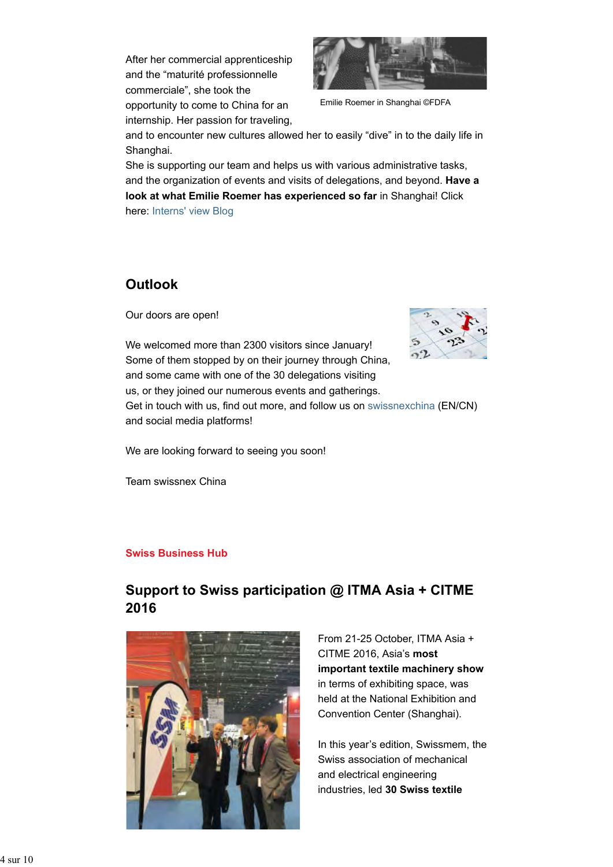After her commercial apprenticeship and the "maturité professionnelle commerciale", she took the opportunity to come to China for an internship. Her passion for traveling,



Emilie Roemer in Shanghai ©FDFA

and to encounter new cultures allowed her to easily "dive" in to the daily life in Shanghai.

She is supporting our team and helps us with various administrative tasks, and the organization of events and visits of delegations, and beyond. **Have a look at what Emilie Roemer has experienced so far** in Shanghai! Click here: Interns' view Blog

### **Outlook**

Our doors are open!

We welcomed more than 2300 visitors since January! Some of them stopped by on their journey through China, and some came with one of the 30 delegations visiting us, or they joined our numerous events and gatherings. Get in touch with us, find out more, and follow us on swissnexchina (EN/CN) and social media platforms!

We are looking forward to seeing you soon!

Team swissnex China

#### **Swiss Business Hub**

## **Support to Swiss participation @ ITMA Asia + CITME 2016**



From 21-25 October, ITMA Asia + CITME 2016, Asia's **most important textile machinery show** in terms of exhibiting space, was held at the National Exhibition and Convention Center (Shanghai).

In this year's edition, Swissmem, the Swiss association of mechanical and electrical engineering industries, led **30 Swiss textile**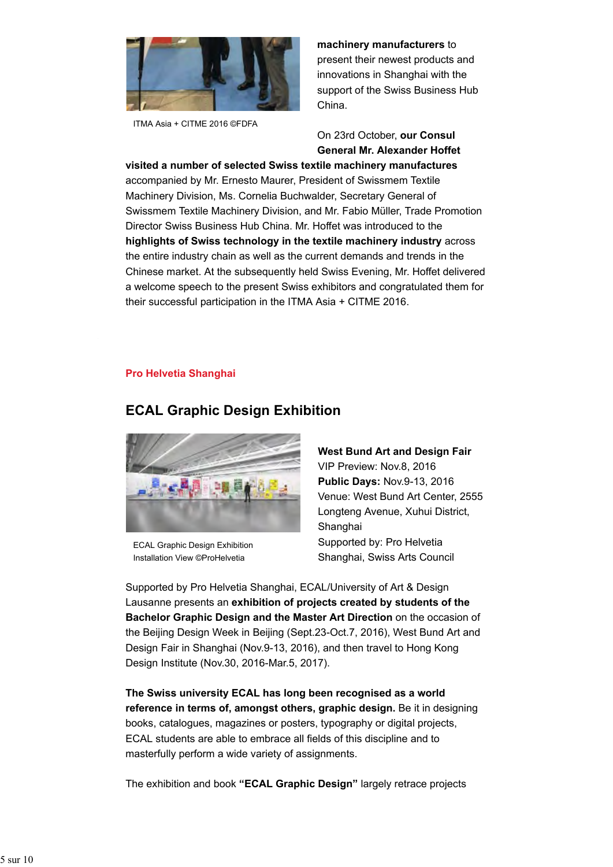

ITMA Asia + CITME 2016 ©FDFA

**machinery manufacturers** to present their newest products and innovations in Shanghai with the support of the Swiss Business Hub China.

On 23rd October, **our Consul General Mr. Alexander Hoffet**

**visited a number of selected Swiss textile machinery manufactures** accompanied by Mr. Ernesto Maurer, President of Swissmem Textile Machinery Division, Ms. Cornelia Buchwalder, Secretary General of Swissmem Textile Machinery Division, and Mr. Fabio Müller, Trade Promotion Director Swiss Business Hub China. Mr. Hoffet was introduced to the **highlights of Swiss technology in the textile machinery industry** across the entire industry chain as well as the current demands and trends in the Chinese market. At the subsequently held Swiss Evening, Mr. Hoffet delivered a welcome speech to the present Swiss exhibitors and congratulated them for their successful participation in the ITMA Asia + CITME 2016.

#### **Pro Helvetia Shanghai**



## **ECAL Graphic Design Exhibition**

ECAL Graphic Design Exhibition Installation View ©ProHelvetia

### **West Bund Art and Design Fair**

VIP Preview: Nov.8, 2016 **Public Days:** Nov.9-13, 2016 Venue: West Bund Art Center, 2555 Longteng Avenue, Xuhui District, Shanghai Supported by: Pro Helvetia Shanghai, Swiss Arts Council

Supported by Pro Helvetia Shanghai, ECAL/University of Art & Design Lausanne presents an **exhibition of projects created by students of the Bachelor Graphic Design and the Master Art Direction** on the occasion of the Beijing Design Week in Beijing (Sept.23-Oct.7, 2016), West Bund Art and Design Fair in Shanghai (Nov.9-13, 2016), and then travel to Hong Kong Design Institute (Nov.30, 2016-Mar.5, 2017).

**The Swiss university ECAL has long been recognised as a world reference in terms of, amongst others, graphic design.** Be it in designing books, catalogues, magazines or posters, typography or digital projects, ECAL students are able to embrace all fields of this discipline and to masterfully perform a wide variety of assignments.

The exhibition and book **"ECAL Graphic Design"** largely retrace projects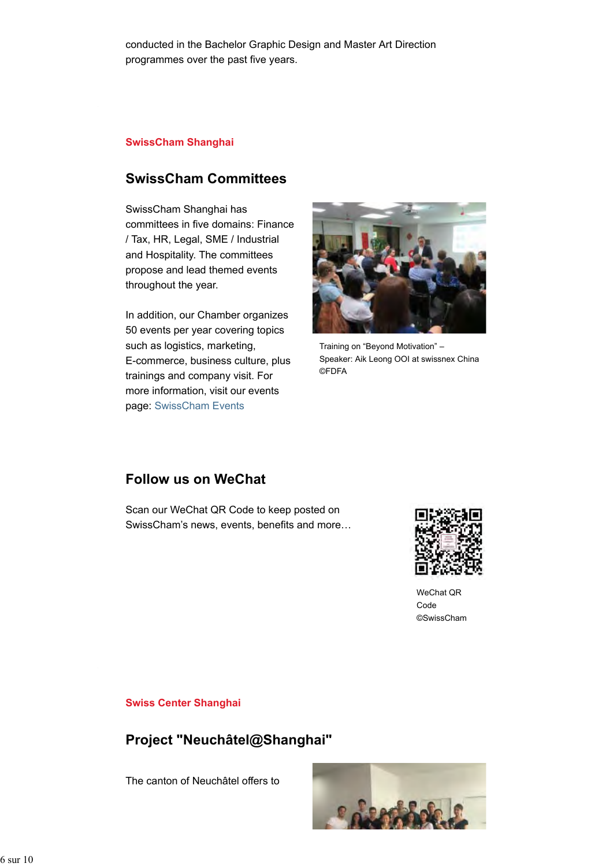conducted in the Bachelor Graphic Design and Master Art Direction programmes over the past five years.

#### **SwissCham Shanghai**

### **SwissCham Committees**

SwissCham Shanghai has committees in five domains: Finance / Tax, HR, Legal, SME / Industrial and Hospitality. The committees propose and lead themed events throughout the year.

In addition, our Chamber organizes 50 events per year covering topics such as logistics, marketing, E-commerce, business culture, plus trainings and company visit. For more information, visit our events page: SwissCham Events



Training on "Beyond Motivation" – Speaker: Aik Leong OOI at swissnex China ©FDFA

### **Follow us on WeChat**

Scan our WeChat QR Code to keep posted on SwissCham's news, events, benefits and more…



WeChat QR Code ©SwissCham

#### **Swiss Center Shanghai**

## **Project "Neuchâtel@Shanghai"**

The canton of Neuchâtel offers to

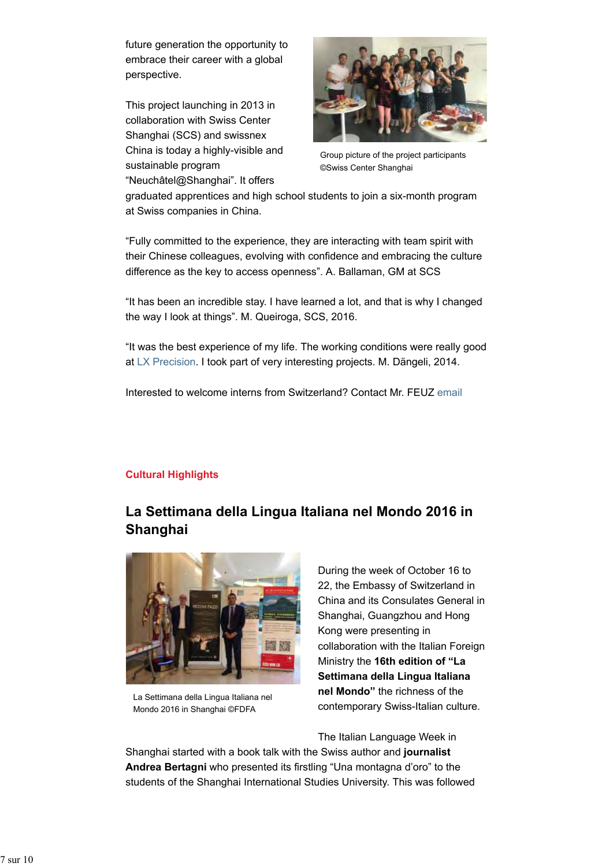future generation the opportunity to embrace their career with a global perspective.

This project launching in 2013 in collaboration with Swiss Center Shanghai (SCS) and swissnex China is today a highly-visible and sustainable program "Neuchâtel@Shanghai". It offers



Group picture of the project participants ©Swiss Center Shanghai

graduated apprentices and high school students to join a six-month program at Swiss companies in China.

"Fully committed to the experience, they are interacting with team spirit with their Chinese colleagues, evolving with confidence and embracing the culture difference as the key to access openness". A. Ballaman, GM at SCS

"It has been an incredible stay. I have learned a lot, and that is why I changed the way I look at things". M. Queiroga, SCS, 2016.

"It was the best experience of my life. The working conditions were really good at LX Precision. I took part of very interesting projects. M. Dängeli, 2014.

Interested to welcome interns from Switzerland? Contact Mr. FEUZ email

### **Cultural Highlights**

## **La Settimana della Lingua Italiana nel Mondo 2016 in Shanghai**



La Settimana della Lingua Italiana nel Mondo 2016 in Shanghai ©FDFA

During the week of October 16 to 22, the Embassy of Switzerland in China and its Consulates General in Shanghai, Guangzhou and Hong Kong were presenting in collaboration with the Italian Foreign Ministry the **16th edition of "La Settimana della Lingua Italiana nel Mondo"** the richness of the contemporary Swiss-Italian culture.

The Italian Language Week in

Shanghai started with a book talk with the Swiss author and **journalist Andrea Bertagni** who presented its firstling "Una montagna d'oro" to the students of the Shanghai International Studies University. This was followed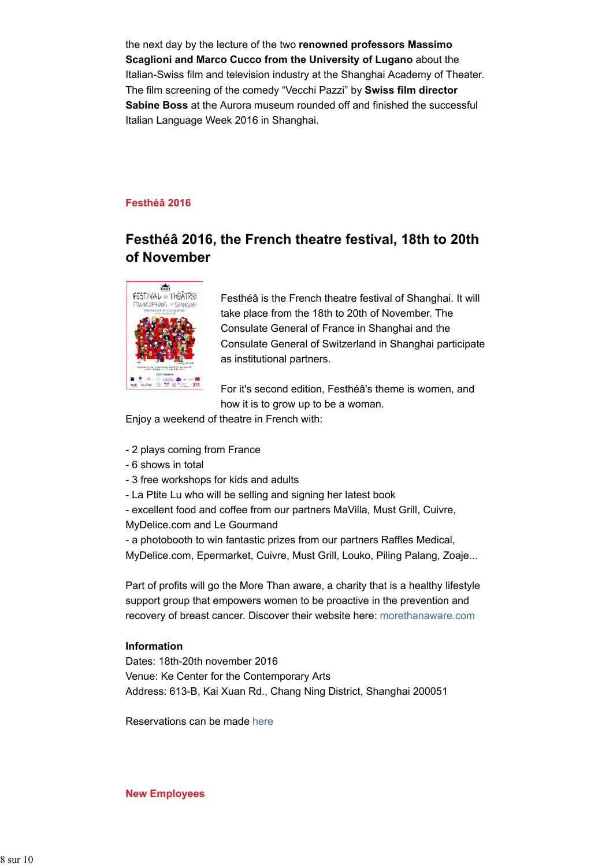the next day by the lecture of the two **renowned professors Massimo Scaglioni and Marco Cucco from the University of Lugano** about the Italian-Swiss film and television industry at the Shanghai Academy of Theater. The film screening of the comedy "Vecchi Pazzi" by **Swiss film director Sabine Boss** at the Aurora museum rounded off and finished the successful Italian Language Week 2016 in Shanghai.

#### **Festhéâ 2016**

## **Festhéâ 2016, the French theatre festival, 18th to 20th of November**



Festhéâ is the French theatre festival of Shanghai. It will take place from the 18th to 20th of November. The Consulate General of France in Shanghai and the Consulate General of Switzerland in Shanghai participate as institutional partners.

For it's second edition, Festhéâ's theme is women, and how it is to grow up to be a woman.

Enjoy a weekend of theatre in French with:

- 2 plays coming from France
- 6 shows in total
- 3 free workshops for kids and adults
- La Ptite Lu who will be selling and signing her latest book
- excellent food and coffee from our partners MaVilla, Must Grill, Cuivre,
- MyDelice.com and Le Gourmand

- a photobooth to win fantastic prizes from our partners Raffles Medical, MyDelice.com, Epermarket, Cuivre, Must Grill, Louko, Piling Palang, Zoaje...

Part of profits will go the More Than aware, a charity that is a healthy lifestyle support group that empowers women to be proactive in the prevention and recovery of breast cancer. Discover their website here: morethanaware.com

#### **Information**

Dates: 18th-20th november 2016 Venue: Ke Center for the Contemporary Arts Address: 613-B, Kai Xuan Rd., Chang Ning District, Shanghai 200051

Reservations can be made here

**New Employees**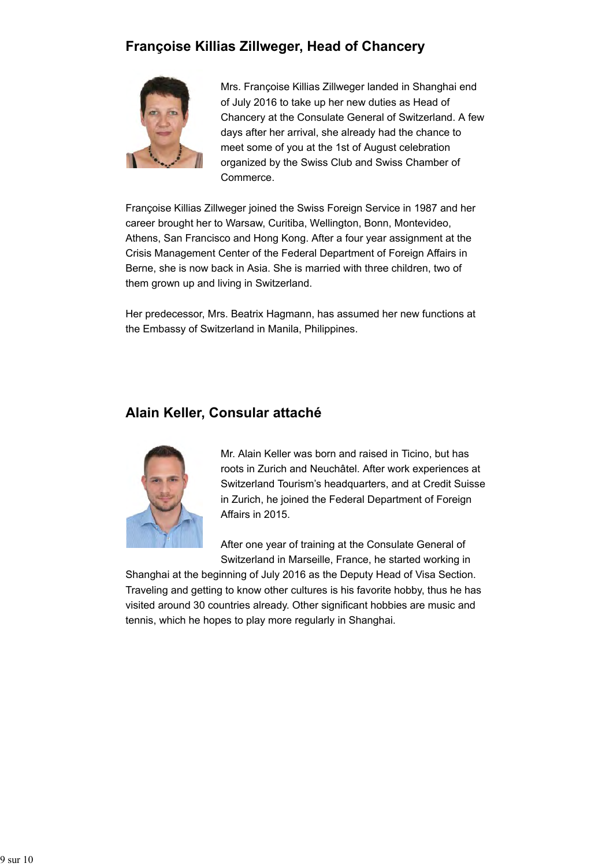## **Françoise Killias Zillweger, Head of Chancery**



Mrs. Françoise Killias Zillweger landed in Shanghai end of July 2016 to take up her new duties as Head of Chancery at the Consulate General of Switzerland. A few days after her arrival, she already had the chance to meet some of you at the 1st of August celebration organized by the Swiss Club and Swiss Chamber of Commerce.

Françoise Killias Zillweger joined the Swiss Foreign Service in 1987 and her career brought her to Warsaw, Curitiba, Wellington, Bonn, Montevideo, Athens, San Francisco and Hong Kong. After a four year assignment at the Crisis Management Center of the Federal Department of Foreign Affairs in Berne, she is now back in Asia. She is married with three children, two of them grown up and living in Switzerland.

Her predecessor, Mrs. Beatrix Hagmann, has assumed her new functions at the Embassy of Switzerland in Manila, Philippines.

### **Alain Keller, Consular attaché**



Mr. Alain Keller was born and raised in Ticino, but has roots in Zurich and Neuchâtel. After work experiences at Switzerland Tourism's headquarters, and at Credit Suisse in Zurich, he joined the Federal Department of Foreign Affairs in 2015.

After one year of training at the Consulate General of Switzerland in Marseille, France, he started working in

Shanghai at the beginning of July 2016 as the Deputy Head of Visa Section. Traveling and getting to know other cultures is his favorite hobby, thus he has visited around 30 countries already. Other significant hobbies are music and tennis, which he hopes to play more regularly in Shanghai.